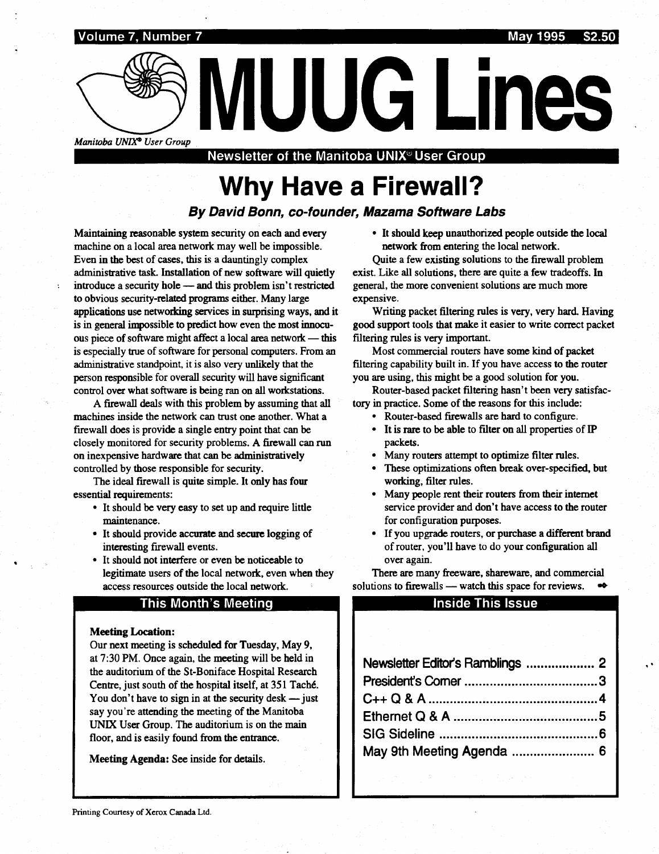

Manitoba UNIX<sup>\*</sup> User Group<br>Newsletter of the Manitoba UNIX<sup>®</sup> User Group

## Why Have a Firewall?

#### By David Bonn, co-founder, Mazama Software Labs

Maintaining reasonable system security on each and every machine on a local area network may well be impossible. Even in the best of cases, this is a dauntingly complex administrative task. Installation of new software will quietly introduce a security hole - and this problem isn't restricted to obvious security-related programs either. Many large applications use networking services in surprising ways, and it is in general impossible to predict how even the most innocuous piece of software might affect a local area network - this is especially true of software for personal computers. From an administrative standpoint, it is also very unlikely that the person responsible for overall security will have significant control over what software is being ran on all workstations.

A firewall deals with this problem by assuming that all machines inside the network can trust one another. What a firewall does is provide a single entry point that can be closely monitored for security problems . A firewall can run on inexpensive hardware that can be administratively controlled by those responsible for security.

The ideal firewall is quite simple. It only has four essential requirements :

- It should be very easy to set up and require little maintenance .
- It should provide accurate and secure logging of interesting firewall events .
- It should not interfere or even be noticeable to legitimate users of the local network, even when they access resources outside the local network.

#### This Month's Meeting

#### **Meeting Location:**

Our next meeting is scheduled for Tuesday, May 9, at 7:30 PM. Once again, the meeting will be held in the auditorium of the St-Boniface Hospital Research Centre, just south of the hospital itself, at 351 Taché . You don't have to sign in at the security desk  $-$  just say you're attending the meeting of the Manitoba UNIX User Group. The auditorium is on the main floor, and is easily found from the entrance.

Meeting Agenda: See inside for details.

• It should keep unauthorized people outside the local network from entering the local network .

Quite a few existing solutions to the firewall problem exist. Like all solutions, there are quite a few tradeoffs. In general, the more convenient solutions are much more expensive.

Writing packet filtering rules is very, very hard. Having good support tools that make it easier to write correct packet filtering rules is very important.

Most commercial routers have some kind of packet filtering capability built in. If you have access to the router you are using, this might be a good solution for you.

Router-based packet filtering hasn't been very satisfactory in practice. Some of the reasons for this include:

- Kouter-based firewalls are hard to configure.
- It is rare to be able to filter on all properties of IP packets .
- Many routers attempt to optimize filter rules.
- These optimizations often break over-specified, but working, filter rules.
- Many people rent their routers from their internet service provider and don't have access to the router for configuration purposes .
- If you upgrade routers, or purchase a different brand of router, you'll have to do your configuration all over again.

#### Inside This Issue

| of router, you'll have to do your configuration all<br>over again.                                                                                                                                                                                                         |  |
|----------------------------------------------------------------------------------------------------------------------------------------------------------------------------------------------------------------------------------------------------------------------------|--|
| There are many freeware, shareware, and commercial                                                                                                                                                                                                                         |  |
| lutions to firewalls — watch this space for reviews.                                                                                                                                                                                                                       |  |
| <b>Inside This Issue</b>                                                                                                                                                                                                                                                   |  |
|                                                                                                                                                                                                                                                                            |  |
|                                                                                                                                                                                                                                                                            |  |
|                                                                                                                                                                                                                                                                            |  |
| Newsletter Editor's Ramblings  2                                                                                                                                                                                                                                           |  |
|                                                                                                                                                                                                                                                                            |  |
|                                                                                                                                                                                                                                                                            |  |
|                                                                                                                                                                                                                                                                            |  |
|                                                                                                                                                                                                                                                                            |  |
| May 9th Meeting Agenda  6                                                                                                                                                                                                                                                  |  |
| $\label{eq:2.1} \mathcal{L}^{\mathcal{A}}_{\mathcal{A}} = \mathcal{L}^{\mathcal{A}}_{\mathcal{A}} = \mathcal{L}^{\mathcal{A}}_{\mathcal{A}} = \mathcal{L}^{\mathcal{A}}_{\mathcal{A}} = \mathcal{L}^{\mathcal{A}}_{\mathcal{A}} = \mathcal{L}^{\mathcal{A}}_{\mathcal{A}}$ |  |
|                                                                                                                                                                                                                                                                            |  |
|                                                                                                                                                                                                                                                                            |  |
|                                                                                                                                                                                                                                                                            |  |
|                                                                                                                                                                                                                                                                            |  |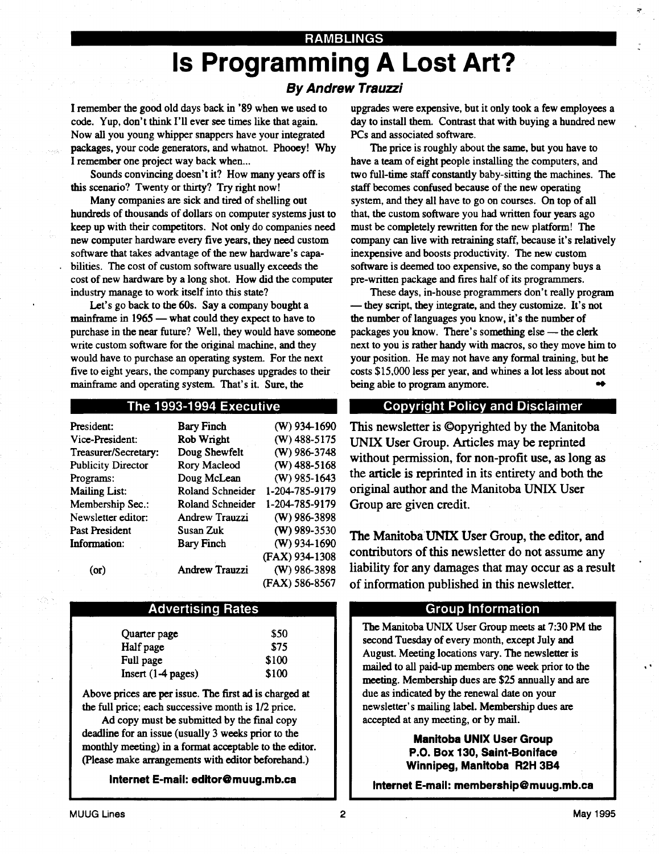#### RAMBLINGS

# Is Programming A Lost Art?

#### By Andrew Trauzzi

I remember the good old days back in '89 when we used to code. Yup, don't think I'll ever see times like that again. Now all you young whipper snappers have your integrated packages, your code generators, and whatnot. Phooey! Why I remember one project way back when...

 

Sounds convincing doesn't it? How many years off is this scenario? Twenty or thirty? Try right now!

Many companies are sick and tired of shelling out hundreds of thousands of dollars on computer systems just to keep up with their competitors. Not only do companies need new computer hardware every five years, they need custom software that takes advantage of the new hardware's capabilities. The cost of custom software usually exceeds the cost of new hardware by a long shot. How did the computer industry manage to work itself into this state?

Let's go back to the 60s. Say a company bought a mainframe in  $1965$  — what could they expect to have to purchase in the near future? Well, they would have someone write custom software for the original machine, and they would have to purchase an operating system. For the next five to eight years, the company purchases upgrades to their mainframe and operating system. That's it. Sure, the

#### The 1993-1994 Executive

| President:                | <b>Bary Finch</b>     | $(W)$ 934-1690 |
|---------------------------|-----------------------|----------------|
| Vice-President:           | Rob Wright            | $(W)$ 488-5175 |
| Treasurer/Secretary:      | Doug Shewfelt         | (W) 986-3748   |
| <b>Publicity Director</b> | <b>Rory Macleod</b>   | $(W)$ 488-5168 |
| Programs:                 | Doug McLean           | $(W)$ 985-1643 |
| <b>Mailing List:</b>      | Roland Schneider      | 1-204-785-9179 |
| Membership Sec.:          | Roland Schneider      | 1-204-785-9179 |
| Newsletter editor:        | Andrew Trauzzi        | (W) 986-3898   |
| Past President            | Susan Zuk             | $(W)$ 989-3530 |
| Information:              | <b>Bary Finch</b>     | $(W)$ 934-1690 |
|                           |                       | (FAX) 934-1308 |
| (or)                      | <b>Andrew Trauzzi</b> | $(W)$ 986-3898 |
|                           |                       | (FAX) 586-8567 |

#### Advertising Rates

| \$50  |
|-------|
| \$75  |
| \$100 |
| \$100 |
|       |

Above prices are per issue . The first ad is charged at the full price; each successive month is 1/2 price.

Ad copy must be submitted by the final copy deadline for an issue (usually 3 weeks prior to the monthly meeting) in a format acceptable to the editor. (Please make arrangements with editor beforehand .)

Internet E-mail: editor@muug.mb.ca

upgrades were expensive, but it only took a few employees a day to install them. Contrast that with buying a hundred new PCs and associated software.

The price is roughly about the same, but you have to have a team of eight people installing the computers, and two full-time staff constantly baby-sitting the machines. The staff becomes confused because of the new operating system, and they all have to go on courses. On top of all that, the custom software you had written four years ago must be completely rewritten for the new platform! The company can live with retraining staff, because it's relatively inexpensive and boosts productivity. The new custom software is deemed too expensive, so the company buys a pre-written package and fires half of its programmers .

These days, in-house programmers don't really program - they script, they integrate, and they customize. It's not the number of languages you know, it's the number of packages you know. There's something else - the clerk next to you is rather handy with macros, so they move him to your position. He may not have any formal training, but he costs \$15,000 less per year, and whines a lot less about not being able to program anymore. w

#### Copyright Policy and Disclaimer

This newsletter is ©opyrighted by the Manitoba UNIX User Group. Articles may be reprinted without permission, for non-profit use, as long as the article is reprinted in its entirety and both the original author and the Manitoba UNIX User Group are given credit.

The Manitoba UNIX User Group, the editor, and contributors of this newsletter do not assume any liability for any damages that may occur as a result of information published in this newsletter .

#### Group Information

The Manitoba UNIX User Group meets at 7 :30 PM the second Tuesday of every month, except July and August. Meeting locations vary. The newsletter is mailed to all paid-up members one week prior to the meeting. Membership dues are \$25 annually and are due as indicated by the renewal date on your newsletter's mailing label. Membership dues are accepted at any meeting, or by mail.

> Manitoba UNIX User Group P.O. Box 130, Saint-Boniface Winnipeg, Manitoba R2H 3B4

Internet E-mail: membership@muug.mb.ca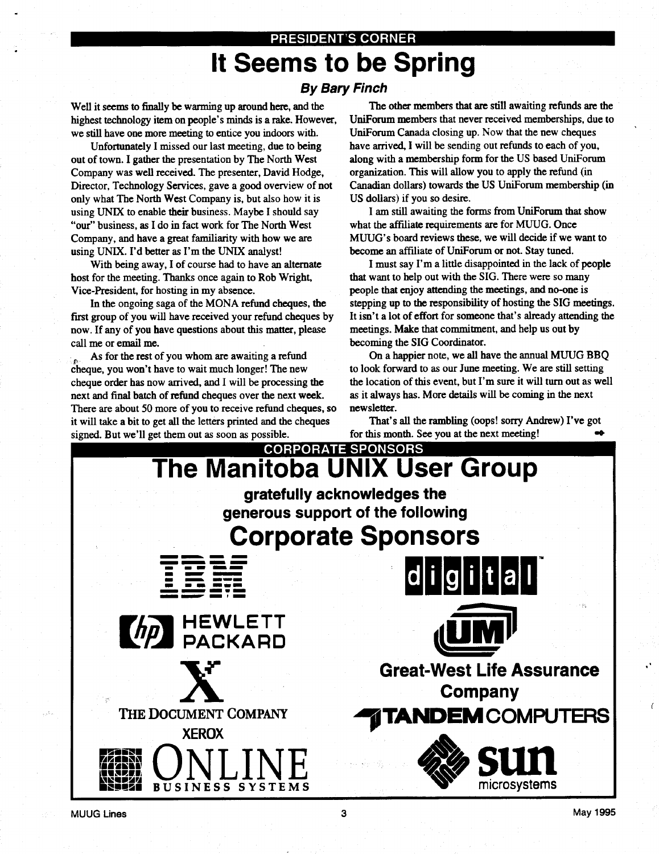### PRESIDENT'S CORNER It Seems to be Spring By Bary Finch

Well it seems to finally be warming up around here, and the highest technology item on people's minds is a rake. However, we still have one more meeting to entice you indoors with.

 

Unfortunately I missed our last meeting, due to being out of town. I gather the presentation by The North West Company was well received. The presenter, David Hodge, Director, Technology Services, gave a good overview of not only what The North West Company is, but also how it is using UNIX to enable their business. Maybe I should say "our" business, as I do in fact work for The North West Company, and have a great familiarity with how we are using UNIX. I'd better as I'm the UNIX analyst!

With being away, I of course had to have an alternate host for the meeting. Thanks once again to Rob Wright, Vice-President, for hosting in my absence .

In the ongoing saga of the MONA refund cheques, the first group of you will have received your refund cheques by now. If any of you have questions about this matter, please call me or email me.

As for the rest of you whom are awaiting a refund cheque, you won't have to wait much longer! The new cheque order has now arrived, and I will be processing the next and final batch of refund cheques over the next week . There are about 50 more of you to receive refund cheques, so it will take a bit to get all the letters printed and the cheques signed. But we'll get them out as soon as possible .

The other members that are still awaiting refunds are the UniForum members that never received memberships, due to UniForum Canada closing up. Now that the new cheques have arrived, I will be sending out refunds to each of you, along with a membership form for the US based UniForum organization. This will allow you to apply the refund (in Canadian dollars) towards the US UniForum membership (in US dollars) if you so desire.

I am still awaiting the forms from UniForum that show what the affiliate requirements are for MUUG. Once MUUG's board reviews these, we will decide if we want to become an affiliate of UniForum or not. Stay tuned.

I must say I'm a little disappointed in the lack of people that want to help out with the SIG. There were so many people that enjoy attending the meetings, and no-one is stepping up to the responsibility of hosting the SIG meetings. It isn't a lot of effort for someone that's already attending the meetings. Make that commitment, and help us out by becoming the SIG Coordinator.

On a happier note, we all have the annual MUUG BBQ to look forward to as our June meeting . We are still setting the location of this event, but I'm sure it will turn out as well as it always has . More details will be coming in the next newsletter.

That's all the rambling (oops! sorry Andrew) I've got for this month. See you at the next meeting!  $\bullet$ 

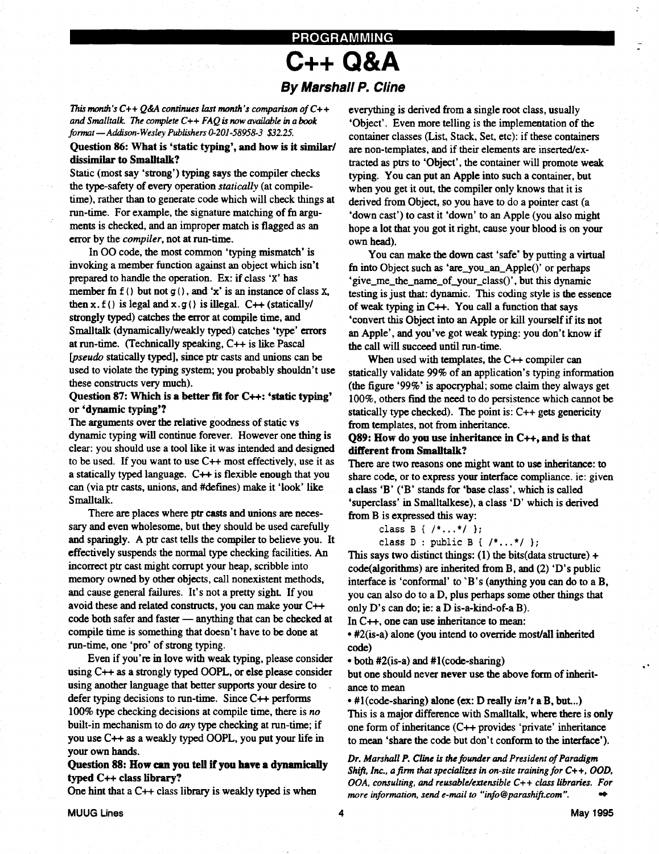### PROGRAMMING C++ Q&A By Marshall P. Cline

This month's  $C++Q\&A$  continues last month's comparison of  $C++$ and Smalltalk. The complete  $C++ FAQ$  is now available in a book format - Addison-Wesley Publishers 0-201-58958-3 \$32.25.

 

 

#### Question 86: What is 'static typing', and how is it similar/ dissimilar to Smalltalk?

Static (most say 'strong') typing says the compiler checks the type-safety of every operation statically (at compiletime), rather than to generate code which will check things at run-time. For example, the signature matching of fn arguments is checked, and an improper match is flagged as an error by the *compiler*, not at run-time.

In 00 code, the most common 'typing mismatch' is invoking a member function against an object which isn't prepared to handle the operation. Ex: if class 'X' has member fn  $f()$  but not  $g()$ , and 'x' is an instance of class X, then x.  $f()$  is legal and  $x.g()$  is illegal.  $C++$  (statically/ strongly typed) catches the error at compile time, and Smalltalk (dynamically/weakly typed) catches 'type' errors at run-time. (Technically speaking, C++ is like Pascal [pseudo statically typed], since ptr casts and unions can be used to violate the typing system; you probably shouldn't use these constructs very much).

#### Question 87: Which is a better fit for  $C_{++}$ : 'static typing' or `dynamic typing'?

The arguments over the relative goodness of static vs dynamic typing will continue forever . However one thing is clear: you should use a tool like it was intended and designed to be used. If you want to use  $C++$  most effectively, use it as a statically typed language.  $C++$  is flexible enough that you can (via ptr casts, unions, and #defines) make it 'look' like Smalltalk.

There are places where ptr casts and unions are necessary and even wholesome, but they should be used carefully and sparingly. A ptr cast tells the compiler to believe you. It effectively suspends the normal type checking facilities . An incorrect ptr cast might corrupt your heap, scribble into memory owned by other objects, call nonexistent methods, and cause general failures. It's not a pretty sight. If you avoid these and related constructs, you can make your C++ code both safer and faster - anything that can be checked at compile time is something that doesn't have to be done at run-time, one 'pro' of strong typing.

Even if you're in love with weak typing, please consider using C++ as a strongly typed OOPL, or else please consider using another language that better supports your desire to defer typing decisions to run-time. Since  $C++$  performs 100% type checking decisions at compile time, there is no built-in mechanism to do any type checking at run-time; if you use C++ as a weakly typed OOPL, you put your life in your own hands.

#### Question 88: How can you tell If you have a dynamically typed C++ class library?

One hint that a  $C++$  class library is weakly typed is when

everything is derived from a single root class, usually `Object' . Even more telling is the implementation of the container classes (List, Stack, Set, etc) : if these containers are non-templates, and if their elements are inserted/extracted as ptrs to `Object', the container will promote weak typing. You can put an Apple into such a container, but when you get it out, the compiler only knows that it is derived from Object, so you have to do a pointer cast (a 'down cast') to cast it 'down' to an Apple (you also might hope a lot that you got it right, cause your blood is on your own head).

You can make the down cast 'safe' by putting a virtual fn into Object such as 'are\_you\_an\_Apple()' or perhaps 'give\_me\_the\_name\_of\_your\_class()', but this dynamic testing is just that: dynamic. This coding style is the essence of weak typing in  $C++$ . You call a function that says 'convert this Object into an Apple or kill yourself if its not an Apple', and you've got weak typing: you don't know if the call will succeed until run-time.

When used with templates, the C++ compiler can statically validate 99% of an application's typing information (the figure '99%' is apocryphal ; some claim they always get 100%, others find the need to do persistence which cannot be statically type checked). The point is:  $C++$  gets genericity from templates, not from inheritance.

#### Q89: How do you use inheritance in C++, and is that different from Smalltalk?

There are two reasons one might want to use inheritance: to share code, or to express your interface compliance. ie: given a class 'B' ('B' stands for 'base class', which is called 'superclass' in Smalltalkese), a class 'D' which is derived from B is expressed this way :

class B {  $/$ \*...\* $/$  };

class  $D : public B { / * ... * / };$ 

This says two distinct things: (1) the bits (data structure)  $+$ code(algorithms) are inherited from B, and (2) 'D's public interface is 'conformal' to 'B's (anything you can do to a B, you can also do to a D, plus perhaps some other things that only D's can do; ie: a D is-a-kind-of-a B).

In  $C++$ , one can use inheritance to mean:

• #2(is-a) alone (you intend to override most/all inherited code)

• both #2(is-a) and #1(code-sharing)

but one should never never use the above form of inheritance to mean

 $\bullet$  #1(code-sharing) alone (ex: D really *isn't* a B, but...) This is a major difference with Smalltalk, where there is only one form of inheritance (C++ provides 'private' inheritance to mean 'share the code but don't conform to the interface') .

Dr. Marshall P. Cline is the founder and President of Paradigm Shift, Inc., a firm that specializes in on-site training for  $C++$ , OOD,  $OOA$ , consulting, and reusable/extensible  $C++$  class libraries. For more information, send e-mail to "info @ parashift.com". a\*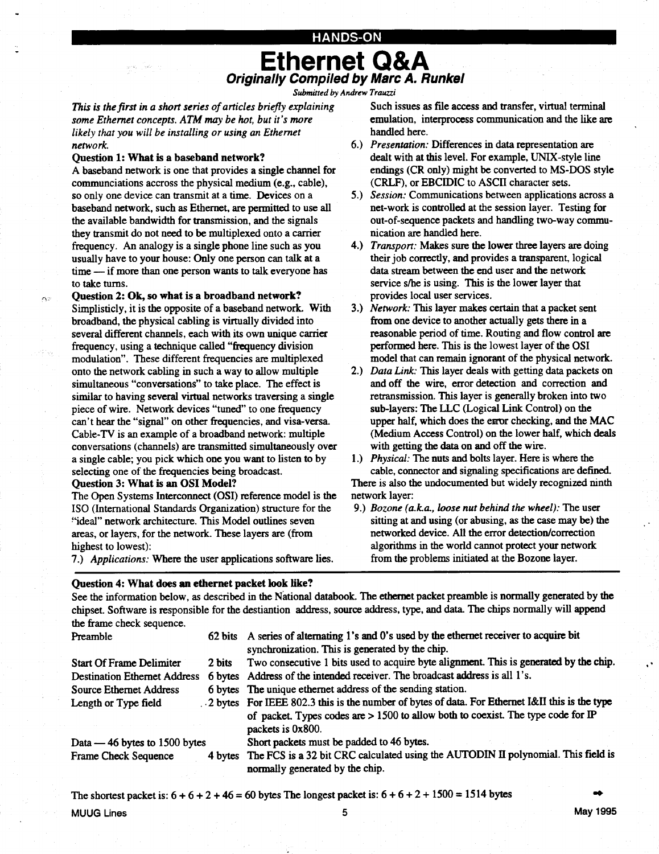#### HANDS-ON

### Ethernet Q&A Originally Compiled by Marc A. Runkel

Submitted by Andrew Trauzzi

This is the first in a short series of articles briefly explaining some Ethernet concepts. ATM may be hot, but it's more likely that you will be installing or using an Ethernet network.

#### Question 1: What is a baseband network?

 

A baseband network is one that provides a single channel for communciations accross the physical medium (e.g., cable), so only one device can transmit at a time. Devices on a baseband network, such as Ethernet, are permitted to use all the available bandwidth for transmission, and the signals they transmit do not need to be multiplexed onto a carrier frequency. An analogy is a single phone line such as you usually have to your house: Only one person can talk at a time - if more than one person wants to talk everyone has to take turns.

#### Question 2: Ok, so what is a broadband network?

Simplisticly, it is the opposite of a baseband network. With broadband, the physical cabling is virtually divided into several different channels, each with its own unique carrier frequency, using a technique called "frequency division modulation". These different frequencies are multiplexed onto the network cabling in such a way to allow multiple simultaneous "conversations" to take place. The effect is similar to having several virtual networks traversing a single piece of wire. Network devices "tuned" to one frequency can't hear the "signal" on other frequencies, and visa-versa. Cable-TV is an example of a broadband network : multiple conversations (channels) are transmitted simultaneously over a single cable; you pick which one you want to listen to by selecting one of the frequencies being broadcast. Question 3: What is an OSI Model? **2 CAUSE CONFIDENT CONFIDENT CONFIDENT CONFIDENT CONFIDENT CONFIDENT CONFIDENT CONFIDENT CONFIDENT CONFIDENT CONFIDENT CONFIDENT CONFIDENT CONFIDENT CONFIDENT CONFIDENT CONFIDENT CONFIDENT CONFIDENT CONFIDENT CONFIDENT** 

The Open Systems Interconnect (OSI) reference model is the ISO (International Standards Organization) structure for the "ideal" network architecture. This Model outlines seven areas, or layers, for the network. These layers are (from highest to lowest):

7.) Applications: Where the user applications software lies.

#### Question 4: What does an ethernet packet look like?

Such issues as file access and transfer, virtual terminal emulation, interprocess communication and the like are handled here.

- o.) *Presentation:* Differences in data representation are dealt with at this level. For example, UNIX-style line endings (CR only) might be converted to MS-DOS style (CRLF), or EBCIDIC to ASCII character sets .
- 5.) Session: Communications between applications across a net-work is controlled at the session layer. Testing for out-of-sequence packets and handling two-way communication are handled here.
- 4.) I ransport: Makes sure the lower three layers are doing their job correctly, and provides a transparent, logical data stream between the end user and the network service s/he is using. This is the lower layer that provides local user services .
- 3.) Network: I his layer makes certain that a packet sent from one device to another actually gets there in a reasonable period of time . Routing and flow control are performed here. This is the lowest layer of the OSI model that can remain ignorant of the physical network.
- 2.) Data Link: This layer deals with getting data packets on and off the wire, error detection and correction and retransmission. This layer is generally broken into two sub-layers: The LLC (Logical Link Control) on the upper half, which does the error checking, and the MAC (Medium Access Control) on the lower half, which deals with getting the data on and off the wire.
- 1.) Physical: The nuts and bolts layer. Here is where the cable, connector and signaling specifications are defined. There is also the undocumented but widely recognized ninth network layer:
- 9.) Bozone (a.k.a., loose nut behind the wheel): The user sitting at and using (or abusing, as the case may be) the networked device. All the error detection/correction algorithms in the world cannot protect your network from the problems initiated at the Bozone layer.

See the information below, as described in the National databook . The ethernet packet preamble is normally generated by the chipset . Software is responsible for the destiantion address, source address, type, and data . The chips normally will append the frame check sequence.

| Preamble                            |        | 62 bits A series of alternating 1's and 0's used by the ethernet receiver to acquire bit<br>synchronization. This is generated by the chip.                                                               |
|-------------------------------------|--------|-----------------------------------------------------------------------------------------------------------------------------------------------------------------------------------------------------------|
| <b>Start Of Frame Delimiter</b>     | 2 bits | Two consecutive 1 bits used to acquire byte alignment. This is generated by the chip.                                                                                                                     |
| <b>Destination Ethernet Address</b> |        | 6 bytes Address of the intended receiver. The broadcast address is all 1's.                                                                                                                               |
| Source Ethernet Address             |        | 6 bytes The unique ethernet address of the sending station.                                                                                                                                               |
| Length or Type field                |        | . 2 bytes For IEEE 802.3 this is the number of bytes of data. For Ethernet I&II this is the type<br>of packet. Types codes are > 1500 to allow both to coexist. The type code for IP<br>packets is 0x800. |
| Data — 46 bytes to 1500 bytes       |        | Short packets must be padded to 46 bytes.                                                                                                                                                                 |
| <b>Frame Check Sequence</b>         |        | 4 bytes The FCS is a 32 bit CRC calculated using the AUTODIN II polynomial. This field is<br>normally generated by the chip.                                                                              |

The shortest packet is:  $6 + 6 + 2 + 46 = 60$  bytes The longest packet is:  $6 + 6 + 2 + 1500 = 1514$  bytes

MUUG Lines 5 May 1995